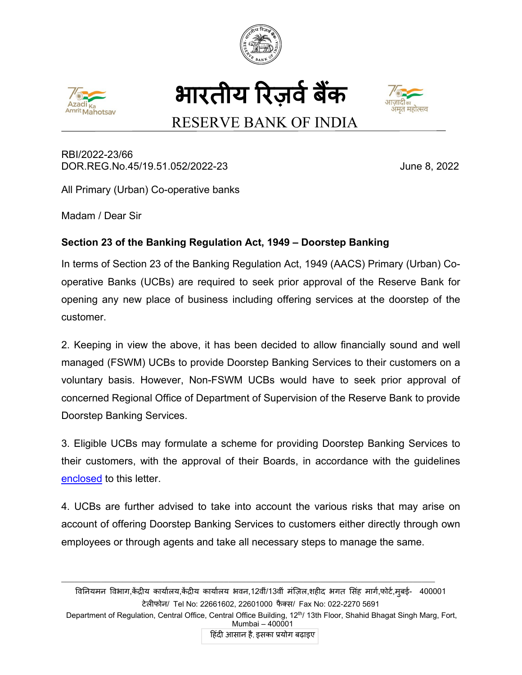







# RESERVE BANK OF INDIA

RBI/2022-23/66 DOR.REG.No.45/19.51.052/2022-23 June 8, 2022

All Primary (Urban) Co-operative banks

Madam / Dear Sir

## **Section 23 of the Banking Regulation Act, 1949 – Doorstep Banking**

In terms of Section 23 of the Banking Regulation Act, 1949 (AACS) Primary (Urban) Cooperative Banks (UCBs) are required to seek prior approval of the Reserve Bank for opening any new place of business including offering services at the doorstep of the customer.

2. Keeping in view the above, it has been decided to allow financially sound and well managed (FSWM) UCBs to provide Doorstep Banking Services to their customers on a voluntary basis. However, Non-FSWM UCBs would have to seek prior approval of concerned Regional Office of Department of Supervision of the Reserve Bank to provide Doorstep Banking Services.

3. Eligible UCBs may formulate a scheme for providing Doorstep Banking Services to their customers, with the approval of their Boards, in accordance with the guidelines [enclosed](#page-2-0) to this letter.

4. UCBs are further advised to take into account the various risks that may arise on account of offering Doorstep Banking Services to customers either directly through own employees or through agents and take all necessary steps to manage the same.

विनियमन विभाग,केद्रीय कार्यालय,केद्रीय कार्यालय भवन,12वीं/13वीं मज़िल,शहीद भगत सिंह मागे,फोटे,मुबई- 400001 टेल�फोन/ Tel No: 22661602, 22601000 फै क्स/ Fax No: 022-2270 5691

\_\_\_\_\_\_\_\_\_\_\_\_\_\_\_\_\_\_\_\_\_\_\_\_\_\_\_\_\_\_\_\_\_\_\_\_\_\_\_\_\_\_\_\_\_\_\_\_\_\_\_\_\_\_\_\_\_\_\_\_\_\_\_\_\_\_\_\_\_\_\_\_\_\_\_\_\_\_\_\_\_\_\_\_\_

Department of Regulation, Central Office, Central Office Building, 12<sup>th</sup>/ 13th Floor, Shahid Bhagat Singh Marg, Fort, Mumbai – 400001

हिंदी आसान है, इसका प्रयोग बढ़ाइए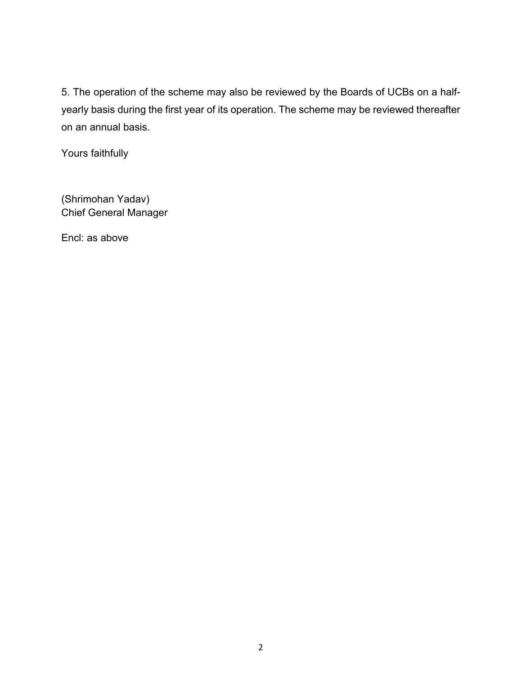5. The operation of the scheme may also be reviewed by the Boards of UCBs on a halfyearly basis during the first year of its operation. The scheme may be reviewed thereafter on an annual basis.

Yours faithfully

(Shrimohan Yadav) Chief General Manager

Encl: as above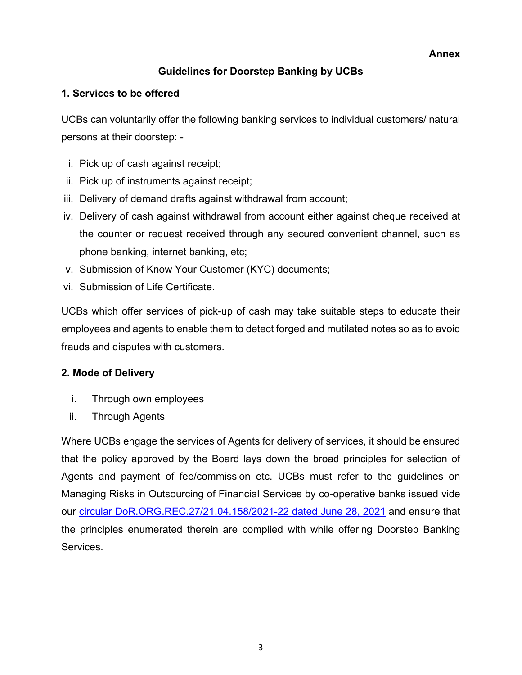**Annex**

### **Guidelines for Doorstep Banking by UCBs**

#### <span id="page-2-0"></span>**1. Services to be offered**

UCBs can voluntarily offer the following banking services to individual customers/ natural persons at their doorstep: -

- i. Pick up of cash against receipt;
- ii. Pick up of instruments against receipt;
- iii. Delivery of demand drafts against withdrawal from account;
- iv. Delivery of cash against withdrawal from account either against cheque received at the counter or request received through any secured convenient channel, such as phone banking, internet banking, etc;
- v. Submission of Know Your Customer (KYC) documents;
- vi. Submission of Life Certificate.

UCBs which offer services of pick-up of cash may take suitable steps to educate their employees and agents to enable them to detect forged and mutilated notes so as to avoid frauds and disputes with customers.

#### **2. Mode of Delivery**

- i. Through own employees
- ii. Through Agents

Where UCBs engage the services of Agents for delivery of services, it should be ensured that the policy approved by the Board lays down the broad principles for selection of Agents and payment of fee/commission etc. UCBs must refer to the guidelines on Managing Risks in Outsourcing of Financial Services by co-operative banks issued vide our [circular DoR.ORG.REC.27/21.04.158/2021-22](https://www.rbi.org.in/Scripts/NotificationUser.aspx?Id=12123&Mode=0) dated June 28, 2021 and ensure that the principles enumerated therein are complied with while offering Doorstep Banking Services.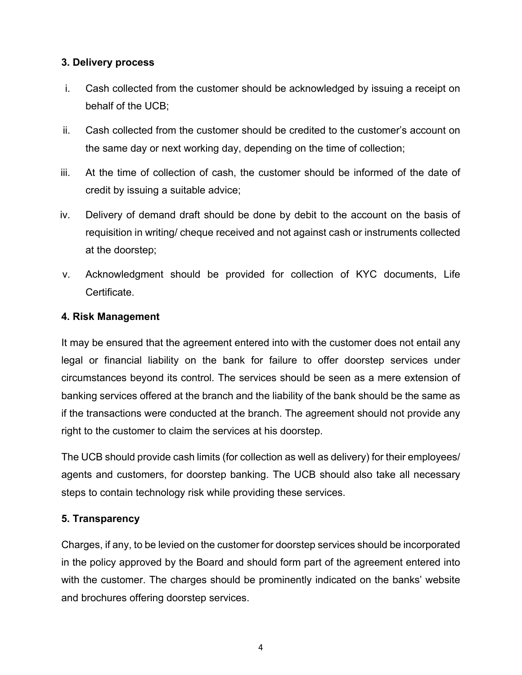#### **3. Delivery process**

- i. Cash collected from the customer should be acknowledged by issuing a receipt on behalf of the UCB;
- ii. Cash collected from the customer should be credited to the customer's account on the same day or next working day, depending on the time of collection;
- iii. At the time of collection of cash, the customer should be informed of the date of credit by issuing a suitable advice;
- iv. Delivery of demand draft should be done by debit to the account on the basis of requisition in writing/ cheque received and not against cash or instruments collected at the doorstep;
- v. Acknowledgment should be provided for collection of KYC documents, Life Certificate.

#### **4. Risk Management**

It may be ensured that the agreement entered into with the customer does not entail any legal or financial liability on the bank for failure to offer doorstep services under circumstances beyond its control. The services should be seen as a mere extension of banking services offered at the branch and the liability of the bank should be the same as if the transactions were conducted at the branch. The agreement should not provide any right to the customer to claim the services at his doorstep.

The UCB should provide cash limits (for collection as well as delivery) for their employees/ agents and customers, for doorstep banking. The UCB should also take all necessary steps to contain technology risk while providing these services.

#### **5. Transparency**

Charges, if any, to be levied on the customer for doorstep services should be incorporated in the policy approved by the Board and should form part of the agreement entered into with the customer. The charges should be prominently indicated on the banks' website and brochures offering doorstep services.